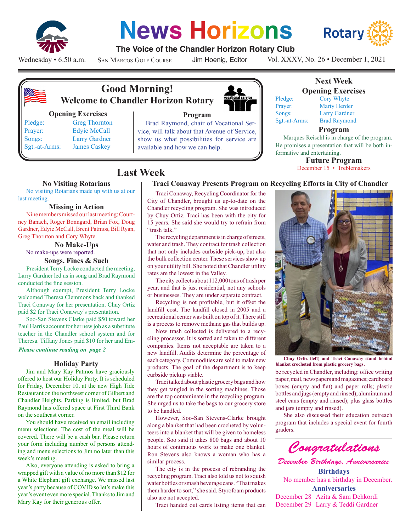

# **News Horizons**



### **The Voice of the Chandler Horizon Rotary Club**

Wednesday • 6:50 a.m.

San Marcos Golf Course

Jim Hoenig, Editor

Vol. XXXV, No. 26 • December 1, 2021



## **Good Morning! Welcome to Chandler Horizon Rotary**

#### **Opening Exercises**

Pledge: Greg Thornton Prayer: Edyie McCall Songs: Larry Gardner Sgt.-at-Arms: James Caskey

Brad Raymond, chair of Vocational Service, will talk about that Avenue of Service, show us what possibilities for service are available and how we can help.



#### **Program**



## **Opening Exercises**

Pledge: Cory Whyte Prayer: Marty Herder Songs: Larry Gardner Sgt.-at-Arms: Brad Raymond

#### **Program**

Marques Reischl is in charge of the program. He promises a presentation that will be both informative and entertaining.

> **Future Program** December 15 • Treblemakers

## **Last Week**

#### **No Visiting Rotarians**

No visiting Rotarians made up with us at our last meeting.

#### **Missing in Action**

Nine members missed our last meeting: Courtney Banach, Roger Bonngard, Brian Fox, Doug Gardner, Edyie McCall, Brent Patmos, Bill Ryan, Greg Thornton and Cory Whyte.

**No Make-Ups** No make-ups were reported.

#### **Songs, Fines & Such**

President Terry Locke conducted the meeting, Larry Gardner led us in song and Brad Raymond conducted the fine session.

Although exempt, President Terry Locke welcomed Theresa Clemmons back and thanked Traci Conaway for her presentation. Chuy Ortiz paid \$2 for Traci Conaway's presentation.

Soo-San Stevens Clarke paid \$50 toward her Paul Harris account for her new job as a substitute teacher in the Chandler school system and for Theresa. Tiffany Jones paid \$10 for her and Em-

#### *Please continue reading on page 2*

#### **Holiday Party**

Jim and Mary Kay Patmos have graciously offered to host our Holiday Party. It is scheduled for Friday, December 10, at the new High Tide Restaurant on the northwest corner of Gilbert and Chandler Heights. Parking is limited, but Brad Raymond has offered space at First Third Bank on the southeast corner.

You should have received an email including menu selections. The cost of the meal will be covered. There will be a cash bar. Please return your form including number of persons attending and menu selections to Jim no later than this week's meeting.

Also, everyone attending is asked to bring a wrapped gift with a value of no more than \$12 for a White Elephant gift exchange. We missed last year's party because of COVID so let's make this year's event even more special. Thanks to Jim and Mary Kay for their generous offer.

Traci Conaway, Recycling Coordinator for the City of Chandler, brought us up-to-date on the Chandler recycling program. She was introduced by Chuy Ortiz. Traci has been with the city for 15 years. She said she would try to refrain from "trash talk."

The recycling department is in charge of streets, water and trash. They contract for trash collection that not only includes curbside pick-up, but also the bulk collection center. These services show up on your utility bill. She noted that Chandler utility rates are the lowest in the Valley.

The city collects about 112,000 tons of trash per year, and that is just residential, not any schools or businesses. They are under separate contract.

Recycling is not profitable, but it offset the landfill cost. The landfill closed in 2005 and a recreational center was built on top of it. There still is a process to remove methane gas that builds up.

Now trash collected is delivered to a recycling processor. It is sorted and taken to different companies. Items not acceptable are taken to a new landfill. Audits determine the percentage of each category. Commodities are sold to make new products. The goal of the department is to keep curbside pickup viable.

Traci talked about plastic grocery bags and how they get tangled in the sorting machines. Those are the top contaminate in the recycling program. She urged us to take the bags to our grocery store to be handled.

However, Soo-San Stevens-Clarke brought along a blanket that had been crocheted by volunteers into a blanket that will be given to homeless people. Soo said it takes 800 bags and about 10 hours of continuous work to make one blanket. Ron Stevens also knows a woman who has a similar process.

The city is in the process of rebranding the recycling program. Traci also told us not to squish water bottles or smash beverage cans. "That makes them harder to sort," she said. Styrofoam products also are not accepted.

Traci handed out cards listing items that can



**Chuy Ortiz (left) and Traci Conaway stand behind blanket crocheted from plastic grocery bags.**

be recycled in Chandler, including: office writing paper, mail, newspapers and magazines; cardboard boxes (empty and flat) and paper rolls; plastic bottles and jugs (empty and rinsed); aluminum and steel cans (empty and rinsed); plus glass bottles and jars (empty and rinsed).

She also discussed their education outreach program that includes a special event for fourth graders.



*December Birthdays, Anniversaries* **Birthdays**

No member has a birthday in December. **Anniversaries** December 28 Azita & Sam Dehkordi

December 29 Larry & Teddi Gardner

**Next Week**